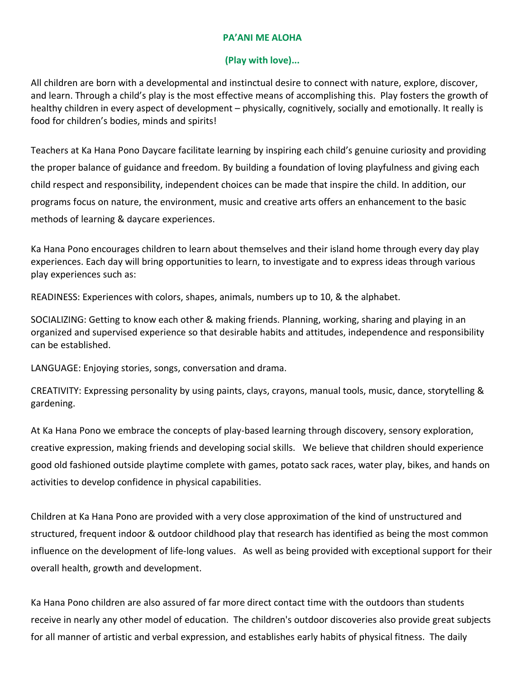## **PA'ANI ME ALOHA**

## **(Play with love)...**

All children are born with a developmental and instinctual desire to connect with nature, explore, discover, and learn. Through a child's play is the most effective means of accomplishing this. Play fosters the growth of healthy children in every aspect of development – physically, cognitively, socially and emotionally. It really is food for children's bodies, minds and spirits!

Teachers at Ka Hana Pono Daycare facilitate learning by inspiring each child's genuine curiosity and providing the proper balance of guidance and freedom. By building a foundation of loving playfulness and giving each child respect and responsibility, independent choices can be made that inspire the child. In addition, our programs focus on nature, the environment, music and creative arts offers an enhancement to the basic methods of learning & daycare experiences.

Ka Hana Pono encourages children to learn about themselves and their island home through every day play experiences. Each day will bring opportunities to learn, to investigate and to express ideas through various play experiences such as:

READINESS: Experiences with colors, shapes, animals, numbers up to 10, & the alphabet.

SOCIALIZING: Getting to know each other & making friends. Planning, working, sharing and playing in an organized and supervised experience so that desirable habits and attitudes, independence and responsibility can be established.

LANGUAGE: Enjoying stories, songs, conversation and drama.

CREATIVITY: Expressing personality by using paints, clays, crayons, manual tools, music, dance, storytelling & gardening.

At Ka Hana Pono we embrace the concepts of play-based learning through discovery, sensory exploration, creative expression, making friends and developing social skills. We believe that children should experience good old fashioned outside playtime complete with games, potato sack races, water play, bikes, and hands on activities to develop confidence in physical capabilities.

Children at Ka Hana Pono are provided with a very close approximation of the kind of unstructured and structured, frequent indoor & outdoor childhood play that research has identified as being the most common influence on the development of life-long values. As well as being provided with exceptional support for their overall health, growth and development.

Ka Hana Pono children are also assured of far more direct contact time with the outdoors than students receive in nearly any other model of education. The children's outdoor discoveries also provide great subjects for all manner of artistic and verbal expression, and establishes early habits of physical fitness. The daily